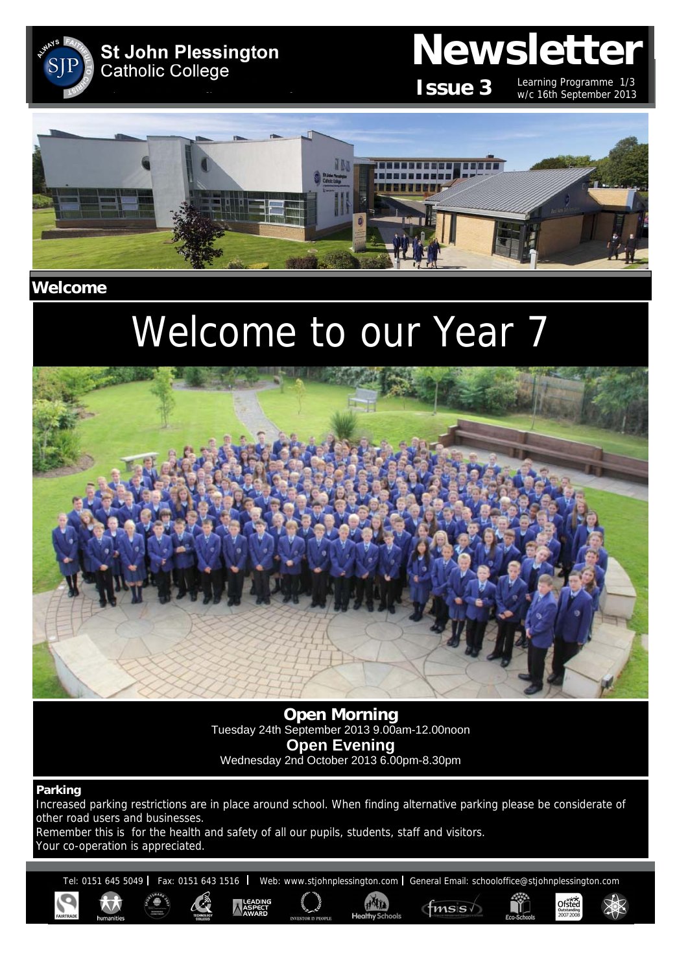

# **Newsletter**

**Issue 3**

Learning Programme 1/3 w/c 16th September 2013

Ofsted



**Welcome** 

# Welcome to our Year 7



**Open Morning**  Tuesday 24th September 2013 9.00am-12.00noon **Open Evening**  Wednesday 2nd October 2013 6.00pm-8.30pm

#### **Parking**

Increased parking restrictions are in place around school. When finding alternative parking please be considerate of other road users and businesses.

Remember this is for the health and safety of all our pupils, students, staff and visitors. Your co-operation is appreciated.

Tel: 0151 645 5049 | Fax: 0151 643 1516 | Web: www.stjohnplessington.com | General Email: schooloffice@stjohnplessington.com

HATTA

 $f$ <sub>msis</sub>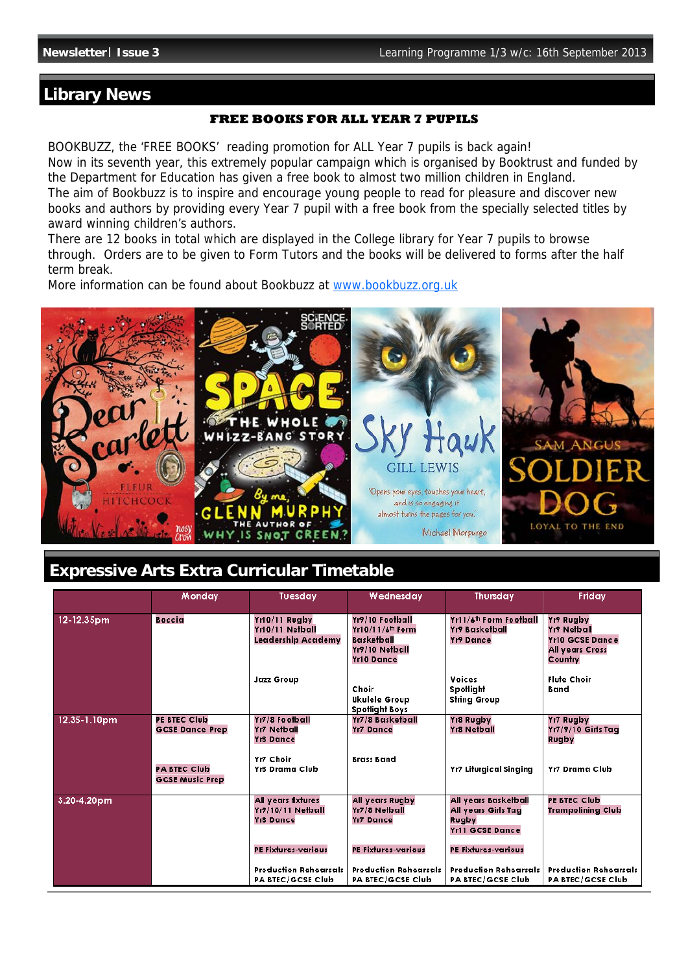# **Library News**

### **FREE BOOKS FOR ALL YEAR 7 PUPILS**

BOOKBUZZ, the 'FREE BOOKS' reading promotion for ALL Year 7 pupils is back again! Now in its seventh year, this extremely popular campaign which is organised by Booktrust and funded by the Department for Education has given a free book to almost two million children in England. The aim of Bookbuzz is to inspire and encourage young people to read for pleasure and discover new books and authors by providing every Year 7 pupil with a free book from the specially selected titles by award winning children's authors.

There are 12 books in total which are displayed in the College library for Year 7 pupils to browse through. Orders are to be given to Form Tutors and the books will be delivered to forms after the half term break.

More information can be found about Bookbuzz at www.bookbuzz.org.uk



# **Expressive Arts Extra Curricular Timetable**

|              | Monday                                        | Tuesday                                                  | Wednesday                                                                                            | <b>Thursday</b>                                                                | Friday                                                                           |
|--------------|-----------------------------------------------|----------------------------------------------------------|------------------------------------------------------------------------------------------------------|--------------------------------------------------------------------------------|----------------------------------------------------------------------------------|
| 12-12.35pm   | <b>Boccia</b>                                 | Yr10/11 Rugby<br>Yr10/11 Netball<br>Leadership Academy   | Yr9/10 Football<br>Yr10/11/6 <sup>th</sup> Form<br>Basketball<br>Yr9/10 Netball<br><b>Yr10 Dance</b> | Yr11/6 <sup>th</sup> Form Football<br>Yı9 Basketball<br>Yr9 Dance              | Yr9 Rugby<br>Yr9 Netball<br><b>Yr10 GCSE Dance</b><br>All years Cross<br>Country |
|              |                                               | <b>Jazz Group</b>                                        | Choir<br><b>Ukulele Group</b><br><b>Spotlight Boys</b>                                               | <b>Voices</b><br>Spotlight<br><b>String Group</b>                              | <b>Flute Choir</b><br>Band                                                       |
| 12.35-1.10pm | PE BTEC Club<br><b>GCSE Dance Prep</b>        | Yr7/8 Football<br>Yr7 Netball<br>Yr8 Dance               | Yr7/8 Basketball<br>Yr7 Dance                                                                        | Yr8 Rugby<br>Yr8 Netball                                                       | Yr7 Rugby<br>Yr7/9/10 Girls Tag<br>Rugby                                         |
|              | <b>PA BTEC Club</b><br><b>GCSE Music Prep</b> | Yr7 Choir<br>Yr8 Drama Club                              | <b>Brass Band</b>                                                                                    | Yr7 Liturgical Singing                                                         | Yr7 Drama Club                                                                   |
| 3.20-4.20pm  |                                               | All years fixtures<br>Yr9/10/11 Netball<br>Yr8 Dance     | All years Rugby<br>Yr7/8 Netball<br>Yr7 Dance                                                        | All years Basketball<br>All years Girls Tag<br>Rugby<br><b>Yr11 GCSE Dance</b> | PE BTEC Club<br>Trampolining Club                                                |
|              |                                               | PE Fixtures-various                                      | <b>PE Fixtures-various</b>                                                                           | <b>PE Fixtures-various</b>                                                     |                                                                                  |
|              |                                               | <b>Production Rehearsals</b><br><b>PA BTEC/GCSE Club</b> | <b>Production Rehearsals</b><br><b>PA BTEC/GCSE Club</b>                                             | <b>Production Rehearsals</b><br><b>PA BTEC/GCSE Club</b>                       | <b>Production Rehearsals</b><br><b>PA BTEC/GCSE Club</b>                         |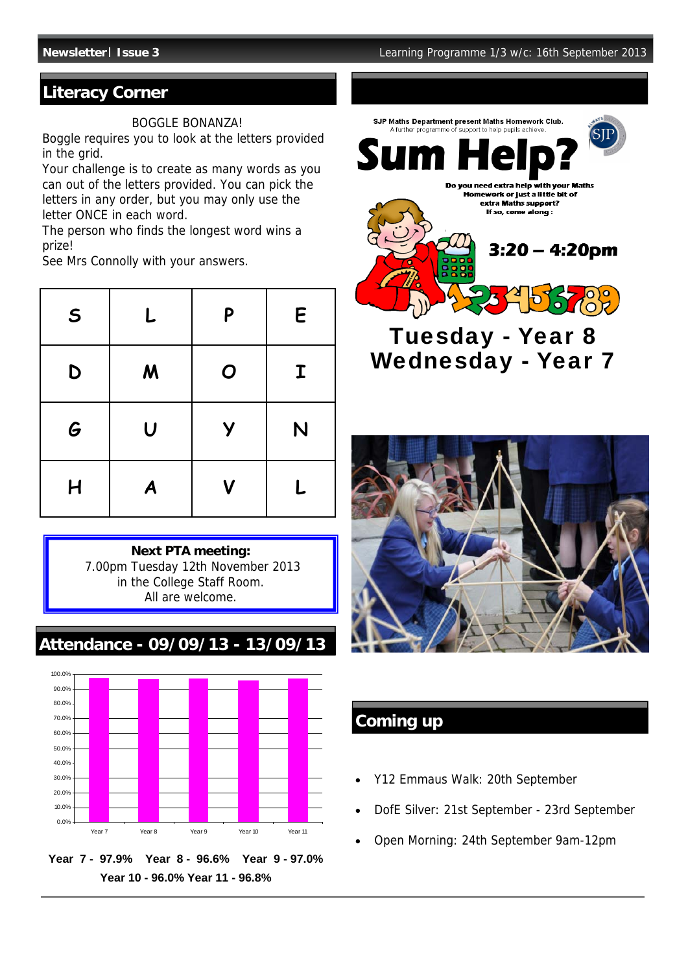# **Literacy Corner**

#### BOGGLE BONANZA!

Boggle requires you to look at the letters provided in the grid.

Your challenge is to create as many words as you can out of the letters provided. You can pick the letters in any order, but you may only use the letter ONCE in each word.

The person who finds the longest word wins a prize!

See Mrs Connolly with your answers.

| $\mathsf{S}$ | L                | P                       | E           |
|--------------|------------------|-------------------------|-------------|
| D            | $\boldsymbol{M}$ | $\boldsymbol{O}$        | $\mathbf I$ |
| G            | $\overline{U}$   | Y                       | N           |
| H            | A                | $\overline{\mathsf{V}}$ | L           |



**Attendance - 09/09/13 - 13/09/13**



**Year 7 - 97.9% Year 8 - 96.6% Year 9 - 97.0% Year 10 - 96.0% Year 11 - 96.8%** 



Tuesday - Year 8 Wednesday - Year 7



# **Coming up**

- Y12 Emmaus Walk: 20th September
- DofE Silver: 21st September 23rd September
- Open Morning: 24th September 9am-12pm